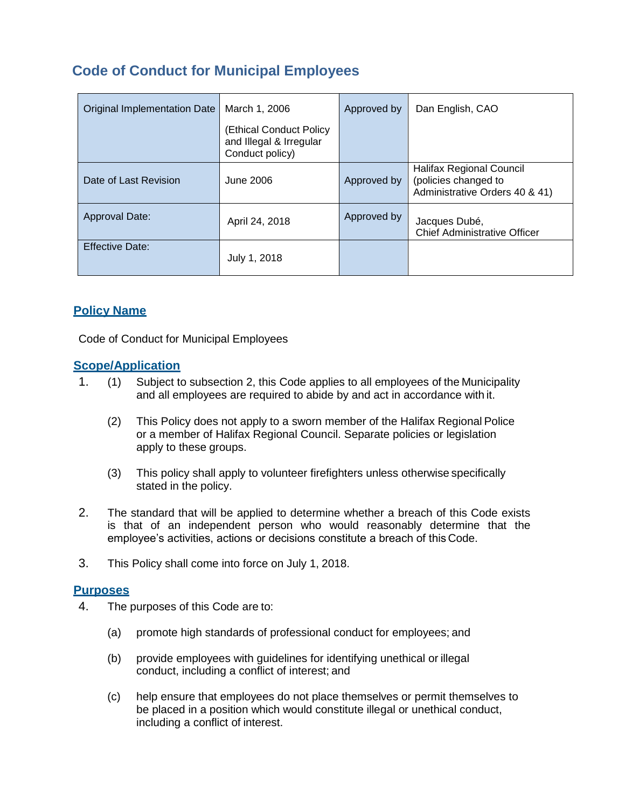# **Code of Conduct for Municipal Employees**

| <b>Original Implementation Date</b> | March 1, 2006                                                         | Approved by | Dan English, CAO                                                                          |
|-------------------------------------|-----------------------------------------------------------------------|-------------|-------------------------------------------------------------------------------------------|
|                                     | (Ethical Conduct Policy<br>and Illegal & Irregular<br>Conduct policy) |             |                                                                                           |
| Date of Last Revision               | June 2006                                                             | Approved by | <b>Halifax Regional Council</b><br>(policies changed to<br>Administrative Orders 40 & 41) |
| Approval Date:                      | April 24, 2018                                                        | Approved by | Jacques Dubé,<br><b>Chief Administrative Officer</b>                                      |
| <b>Effective Date:</b>              | July 1, 2018                                                          |             |                                                                                           |

# **Policy Name**

Code of Conduct for Municipal Employees

# **Scope/Application**

- 1. (1) Subject to subsection 2, this Code applies to all employees of the Municipality and all employees are required to abide by and act in accordance with it.
	- (2) This Policy does not apply to a sworn member of the Halifax Regional Police or a member of Halifax Regional Council. Separate policies or legislation apply to these groups.
	- (3) This policy shall apply to volunteer firefighters unless otherwise specifically stated in the policy.
- 2. The standard that will be applied to determine whether a breach of this Code exists is that of an independent person who would reasonably determine that the employee's activities, actions or decisions constitute a breach of this Code.
- 3. This Policy shall come into force on July 1, 2018.

#### **Purposes**

- 4. The purposes of this Code are to:
	- (a) promote high standards of professional conduct for employees; and
	- (b) provide employees with guidelines for identifying unethical or illegal conduct, including a conflict of interest; and
	- (c) help ensure that employees do not place themselves or permit themselves to be placed in a position which would constitute illegal or unethical conduct, including a conflict of interest.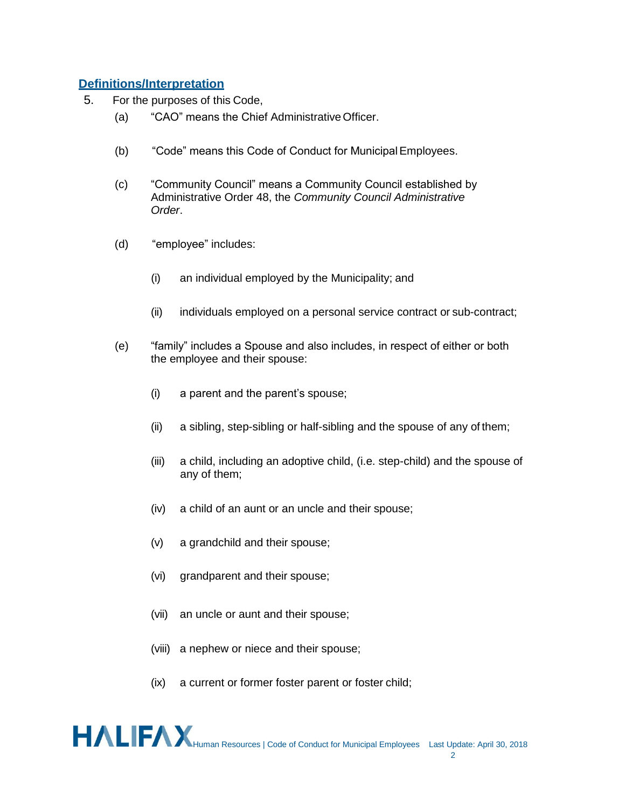## **Definitions/Interpretation**

- 5. For the purposes of this Code,
	- (a) "CAO" means the Chief AdministrativeOfficer.
	- (b) "Code" means this Code of Conduct for MunicipalEmployees.
	- (c) "Community Council" means a Community Council established by Administrative Order 48, the *Community Council Administrative Order*.
	- (d) "employee" includes:
		- (i) an individual employed by the Municipality; and
		- (ii) individuals employed on a personal service contract or sub-contract;
	- (e) "family" includes a Spouse and also includes, in respect of either or both the employee and their spouse:
		- (i) a parent and the parent's spouse;
		- (ii) a sibling, step-sibling or half-sibling and the spouse of any of them;
		- (iii) a child, including an adoptive child, (i.e. step-child) and the spouse of any of them;
		- (iv) a child of an aunt or an uncle and their spouse;
		- (v) a grandchild and their spouse;
		- (vi) grandparent and their spouse;
		- (vii) an uncle or aunt and their spouse;
		- (viii) a nephew or niece and their spouse;
		- (ix) a current or former foster parent or foster child;

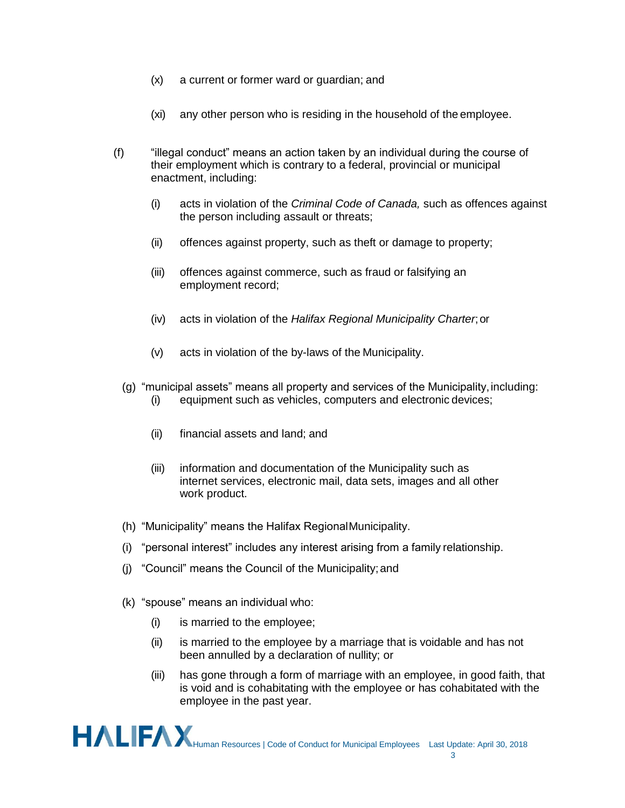- (x) a current or former ward or guardian; and
- (xi) any other person who is residing in the household of the employee.
- (f) "illegal conduct" means an action taken by an individual during the course of their employment which is contrary to a federal, provincial or municipal enactment, including:
	- (i) acts in violation of the *Criminal Code of Canada,* such as offences against the person including assault or threats;
	- (ii) offences against property, such as theft or damage to property;
	- (iii) offences against commerce, such as fraud or falsifying an employment record;
	- (iv) acts in violation of the *Halifax Regional Municipality Charter*;or
	- (v) acts in violation of the by-laws of the Municipality.
	- (g) "municipal assets" means all property and services of the Municipality,including: (i) equipment such as vehicles, computers and electronic devices;
		- (ii) financial assets and land; and
		- (iii) information and documentation of the Municipality such as internet services, electronic mail, data sets, images and all other work product.
	- (h) "Municipality" means the Halifax RegionalMunicipality.
	- (i) "personal interest" includes any interest arising from a family relationship.
	- (j) "Council" means the Council of the Municipality;and
	- (k) "spouse" means an individual who:
		- (i) is married to the employee;
		- (ii) is married to the employee by a marriage that is voidable and has not been annulled by a declaration of nullity; or
		- (iii) has gone through a form of marriage with an employee, in good faith, that is void and is cohabitating with the employee or has cohabitated with the employee in the past year.

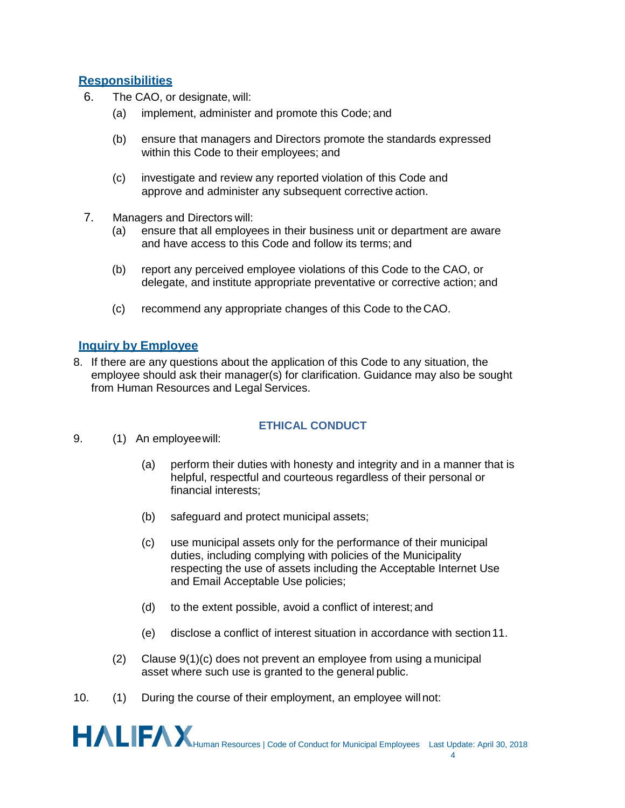# **Responsibilities**

- 6. The CAO, or designate, will:
	- (a) implement, administer and promote this Code; and
	- (b) ensure that managers and Directors promote the standards expressed within this Code to their employees; and
	- (c) investigate and review any reported violation of this Code and approve and administer any subsequent corrective action.
- 7. Managers and Directors will:
	- (a) ensure that all employees in their business unit or department are aware and have access to this Code and follow its terms; and
	- (b) report any perceived employee violations of this Code to the CAO, or delegate, and institute appropriate preventative or corrective action; and
	- (c) recommend any appropriate changes of this Code to the CAO.

# **Inquiry by Employee**

8. If there are any questions about the application of this Code to any situation, the employee should ask their manager(s) for clarification. Guidance may also be sought from Human Resources and Legal Services.

#### **ETHICAL CONDUCT**

- 9. (1) An employeewill:
	- (a) perform their duties with honesty and integrity and in a manner that is helpful, respectful and courteous regardless of their personal or financial interests;
	- (b) safeguard and protect municipal assets;
	- (c) use municipal assets only for the performance of their municipal duties, including complying with policies of the Municipality respecting the use of assets including the Acceptable Internet Use and Email Acceptable Use policies;
	- (d) to the extent possible, avoid a conflict of interest; and
	- (e) disclose a conflict of interest situation in accordance with section11.
	- (2) Clause 9(1)(c) does not prevent an employee from using a municipal asset where such use is granted to the general public.
- 10. (1) During the course of their employment, an employee willnot:

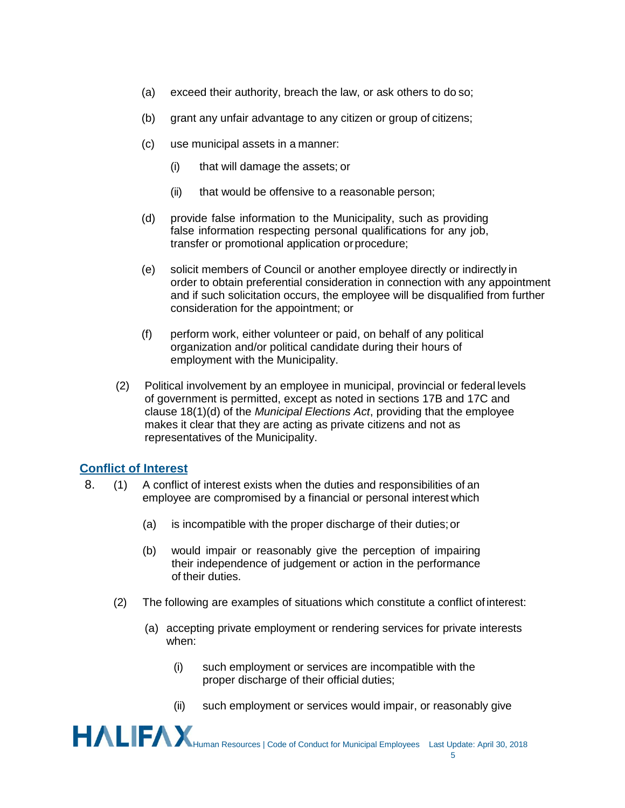- (a) exceed their authority, breach the law, or ask others to do so;
- (b) grant any unfair advantage to any citizen or group of citizens;
- (c) use municipal assets in a manner:
	- (i) that will damage the assets; or
	- (ii) that would be offensive to a reasonable person;
- (d) provide false information to the Municipality, such as providing false information respecting personal qualifications for any job, transfer or promotional application orprocedure;
- (e) solicit members of Council or another employee directly or indirectly in order to obtain preferential consideration in connection with any appointment and if such solicitation occurs, the employee will be disqualified from further consideration for the appointment; or
- (f) perform work, either volunteer or paid, on behalf of any political organization and/or political candidate during their hours of employment with the Municipality.
- (2) Political involvement by an employee in municipal, provincial or federal levels of government is permitted, except as noted in sections 17B and 17C and clause 18(1)(d) of the *Municipal Elections Act*, providing that the employee makes it clear that they are acting as private citizens and not as representatives of the Municipality.

#### **Conflict of Interest**

- 8. (1) A conflict of interest exists when the duties and responsibilities of an employee are compromised by a financial or personal interest which
	- (a) is incompatible with the proper discharge of their duties;or
	- (b) would impair or reasonably give the perception of impairing their independence of judgement or action in the performance of their duties.
	- (2) The following are examples of situations which constitute a conflict of interest:
		- (a) accepting private employment or rendering services for private interests when:
			- (i) such employment or services are incompatible with the proper discharge of their official duties;
			- (ii) such employment or services would impair, or reasonably give

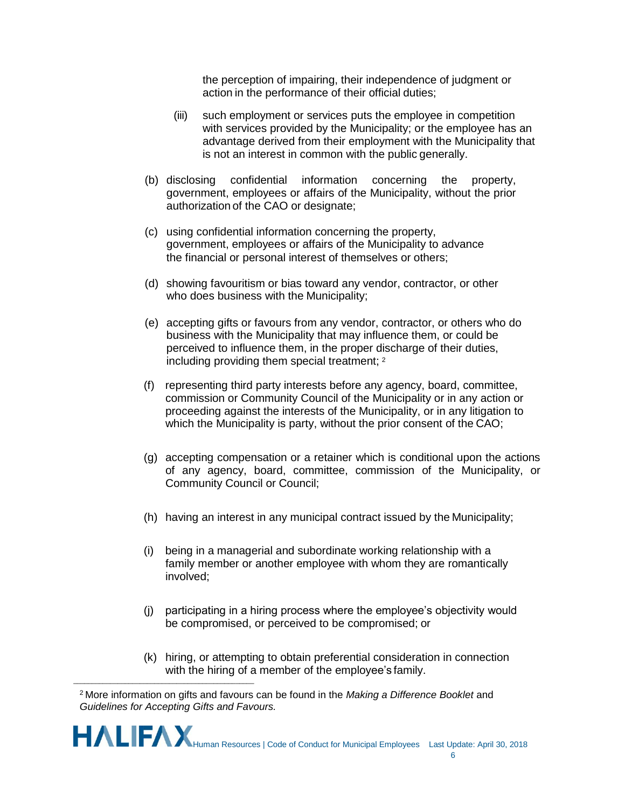the perception of impairing, their independence of judgment or action in the performance of their official duties;

- (iii) such employment or services puts the employee in competition with services provided by the Municipality; or the employee has an advantage derived from their employment with the Municipality that is not an interest in common with the public generally.
- (b) disclosing confidential information concerning the property, government, employees or affairs of the Municipality, without the prior authorization of the CAO or designate;
- (c) using confidential information concerning the property, government, employees or affairs of the Municipality to advance the financial or personal interest of themselves or others;
- (d) showing favouritism or bias toward any vendor, contractor, or other who does business with the Municipality;
- (e) accepting gifts or favours from any vendor, contractor, or others who do business with the Municipality that may influence them, or could be perceived to influence them, in the proper discharge of their duties, including providing them special treatment; <sup>2</sup>
- (f) representing third party interests before any agency, board, committee, commission or Community Council of the Municipality or in any action or proceeding against the interests of the Municipality, or in any litigation to which the Municipality is party, without the prior consent of the CAO;
- (g) accepting compensation or a retainer which is conditional upon the actions of any agency, board, committee, commission of the Municipality, or Community Council or Council;
- (h) having an interest in any municipal contract issued by the Municipality;
- (i) being in a managerial and subordinate working relationship with a family member or another employee with whom they are romantically involved;
- (j) participating in a hiring process where the employee's objectivity would be compromised, or perceived to be compromised; or
- (k) hiring, or attempting to obtain preferential consideration in connection with the hiring of a member of the employee's family.

 $\overline{\phantom{a}}$  , and the set of the set of the set of the set of the set of the set of the set of the set of the set of the set of the set of the set of the set of the set of the set of the set of the set of the set of the s



<sup>2</sup>More information on gifts and favours can be found in the *Making a Difference Booklet* and *Guidelines for Accepting Gifts and Favours.*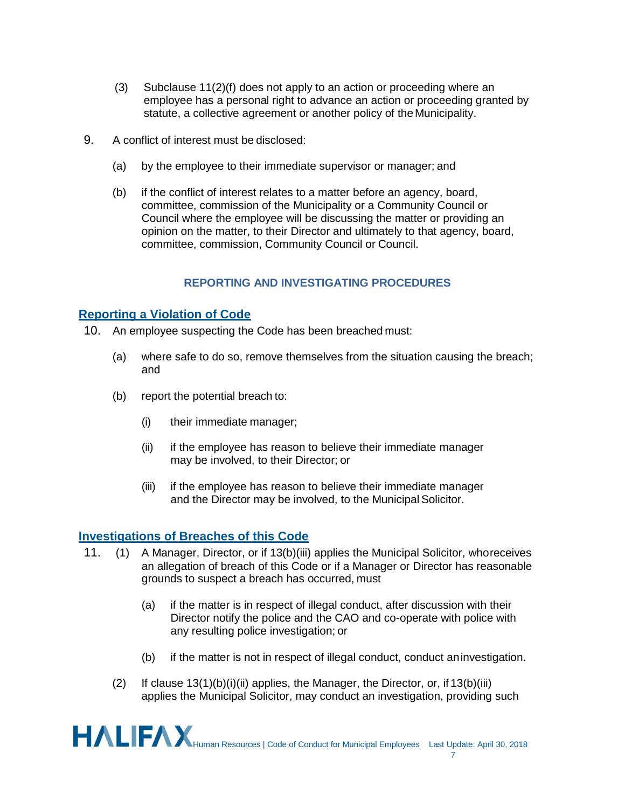- (3) Subclause 11(2)(f) does not apply to an action or proceeding where an employee has a personal right to advance an action or proceeding granted by statute, a collective agreement or another policy of the Municipality.
- 9. A conflict of interest must be disclosed:
	- (a) by the employee to their immediate supervisor or manager; and
	- (b) if the conflict of interest relates to a matter before an agency, board, committee, commission of the Municipality or a Community Council or Council where the employee will be discussing the matter or providing an opinion on the matter, to their Director and ultimately to that agency, board, committee, commission, Community Council or Council.

#### **REPORTING AND INVESTIGATING PROCEDURES**

## **Reporting a Violation of Code**

- 10. An employee suspecting the Code has been breached must:
	- (a) where safe to do so, remove themselves from the situation causing the breach; and
	- (b) report the potential breach to:
		- (i) their immediate manager;
		- (ii) if the employee has reason to believe their immediate manager may be involved, to their Director; or
		- (iii) if the employee has reason to believe their immediate manager and the Director may be involved, to the Municipal Solicitor.

#### **Investigations of Breaches of this Code**

- 11. (1) A Manager, Director, or if 13(b)(iii) applies the Municipal Solicitor, whoreceives an allegation of breach of this Code or if a Manager or Director has reasonable grounds to suspect a breach has occurred, must
	- (a) if the matter is in respect of illegal conduct, after discussion with their Director notify the police and the CAO and co-operate with police with any resulting police investigation; or
	- (b) if the matter is not in respect of illegal conduct, conduct aninvestigation.
	- (2) If clause  $13(1)(b)(i)(ii)$  applies, the Manager, the Director, or, if  $13(b)(iii)$ applies the Municipal Solicitor, may conduct an investigation, providing such

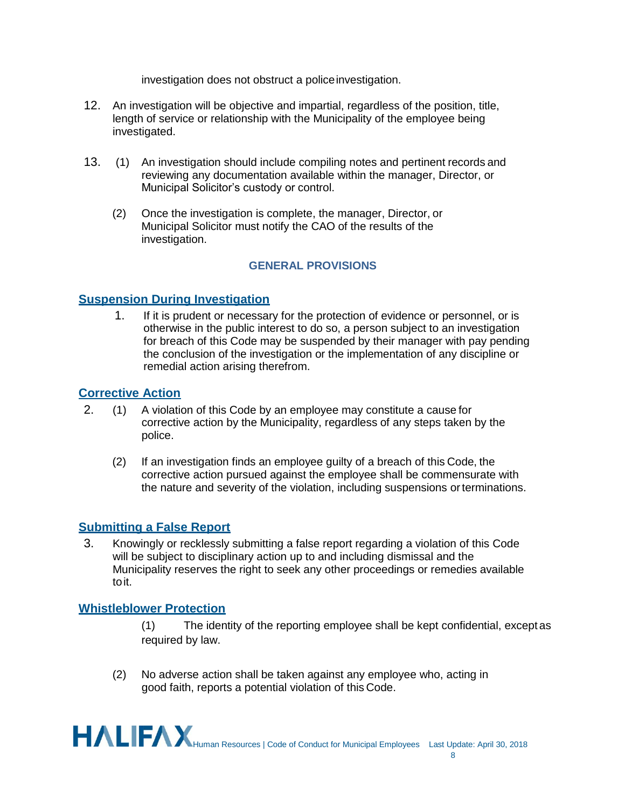investigation does not obstruct a policeinvestigation.

- 12. An investigation will be objective and impartial, regardless of the position, title, length of service or relationship with the Municipality of the employee being investigated.
- 13. (1) An investigation should include compiling notes and pertinent records and reviewing any documentation available within the manager, Director, or Municipal Solicitor's custody or control.
	- (2) Once the investigation is complete, the manager, Director, or Municipal Solicitor must notify the CAO of the results of the investigation.

# **GENERAL PROVISIONS**

# **Suspension During Investigation**

1. If it is prudent or necessary for the protection of evidence or personnel, or is otherwise in the public interest to do so, a person subject to an investigation for breach of this Code may be suspended by their manager with pay pending the conclusion of the investigation or the implementation of any discipline or remedial action arising therefrom.

# **Corrective Action**

- 2. (1) A violation of this Code by an employee may constitute a cause for corrective action by the Municipality, regardless of any steps taken by the police.
	- (2) If an investigation finds an employee guilty of a breach of this Code, the corrective action pursued against the employee shall be commensurate with the nature and severity of the violation, including suspensions orterminations.

# **Submitting a False Report**

3. Knowingly or recklessly submitting a false report regarding a violation of this Code will be subject to disciplinary action up to and including dismissal and the Municipality reserves the right to seek any other proceedings or remedies available toit.

# **Whistleblower Protection**

- (1) The identity of the reporting employee shall be kept confidential, except as required by law.
- (2) No adverse action shall be taken against any employee who, acting in good faith, reports a potential violation of this Code.